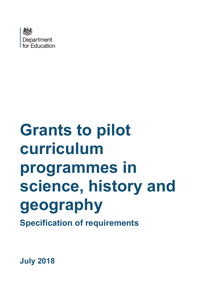

# **Grants to pilot curriculum programmes in science, history and geography**

**Specification of requirements**

**July 2018**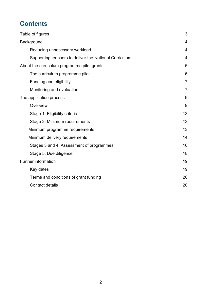# **Contents**

| Table of figures                                       | 3              |
|--------------------------------------------------------|----------------|
| Background                                             | $\overline{4}$ |
| Reducing unnecessary workload                          | $\overline{4}$ |
| Supporting teachers to deliver the National Curriculum | $\overline{4}$ |
| About the curriculum programme pilot grants            | 6              |
| The curriculum programme pilot                         | 6              |
| Funding and eligibility                                | $\overline{7}$ |
| Monitoring and evaluation                              | $\overline{7}$ |
| The application process                                | 9              |
| Overview                                               | 9              |
| Stage 1: Eligibility criteria                          | 13             |
| Stage 2: Minimum requirements                          | 13             |
| Minimum programme requirements                         | 13             |
| Minimum delivery requirements                          | 14             |
| Stages 3 and 4: Assessment of programmes               | 16             |
| Stage 5: Due diligence                                 | 18             |
| <b>Further information</b>                             | 19             |
| Key dates                                              | 19             |
| Terms and conditions of grant funding                  | 20             |
| <b>Contact details</b>                                 | 20             |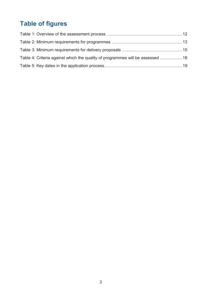# <span id="page-2-0"></span>**Table of figures**

| Table 4: Criteria against which the quality of programmes will be assessed 18 |  |
|-------------------------------------------------------------------------------|--|
|                                                                               |  |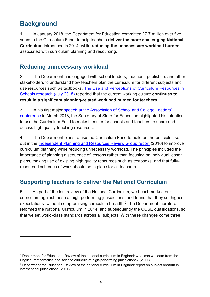# <span id="page-3-0"></span>**Background**

-

1. In January 2018, the Department for Education committed £7.7 million over five years to the Curriculum Fund, to help teachers **deliver the more challenging National Curriculum** introduced in 2014, while **reducing the unnecessary workload burden**  associated with curriculum planning and resourcing.

## <span id="page-3-1"></span>**Reducing unnecessary workload**

2. The Department has engaged with school leaders, teachers, publishers and other stakeholders to understand how teachers plan the curriculum for different subjects and use resources such as textbooks. [The Use and Perceptions of Curriculum Resources in](https://www.gov.uk/government/publications/curriculum-support-resources-in-schools)  [Schools research \(July 2018\)](https://www.gov.uk/government/publications/curriculum-support-resources-in-schools) reported that the current working culture **continues to result in a significant planning-related workload burden for teachers**.

3. In his first major [speech at the Association of School and College Leaders'](https://www.gov.uk/government/speeches/damian-hinds-there-are-no-great-schools-without-great-teachers)  [conference](https://www.gov.uk/government/speeches/damian-hinds-there-are-no-great-schools-without-great-teachers) in March 2018, the Secretary of State for Education highlighted his intention to use the Curriculum Fund to make it easier for schools and teachers to share and access high quality teaching resources.

4. The Department plans to use the Curriculum Fund to build on the principles set out in the [Independent Planning and Resources Review Group report](https://www.gov.uk/government/publications/reducing-teacher-workload-planning-and-resources-group-report) (2016) to improve curriculum planning while reducing unnecessary workload. The principles included the importance of planning a sequence of lessons rather than focusing on individual lesson plans, making use of existing high quality resources such as textbooks, and that fullyresourced schemes of work should be in place for all teachers.

# <span id="page-3-2"></span>**Supporting teachers to deliver the National Curriculum**

<span id="page-3-3"></span>5. As part of the last review of the National Curriculum, we benchmarked our curriculum against those of high performing jurisdictions, and found that they set higher  $expectations<sup>1</sup>$  without compromising curriculum breadth.<sup>2</sup> The Department therefore reformed the National Curriculum in 2014, and subsequently the GCSE qualifications, so that we set world-class standards across all subjects. With these changes come three

<sup>1</sup> Department for Education, Review of the national curriculum in England: what can we learn from the English, mathematics and science curricula of high-performing jurisdictions? (2011)

<sup>2</sup> Department for Education, Review of the national curriculum in England: report on subject breadth in international jurisdictions (2011)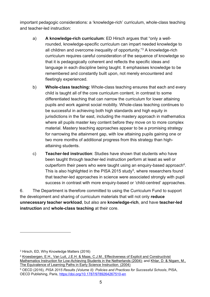important pedagogic considerations: a 'knowledge-rich' curriculum, whole-class teaching and teacher-led instruction:

- a) **A knowledge-rich curriculum**: ED Hirsch argues that "only a wellrounded, knowledge-specific curriculum can impart needed knowledge to all children and overcome inequality of opportunity."<sup>3</sup> A knowledge-rich curriculum requires careful consideration of the sequence of knowledge so that it is pedagogically coherent and reflects the specific ideas and language in each discipline being taught. It emphasises knowledge to be remembered and constantly built upon, not merely encountered and fleetingly experienced.
- b) **Whole-class teaching:** Whole-class teaching ensures that each and every child is taught all of the core curriculum content, in contrast to some differentiated teaching that can narrow the curriculum for lower attaining pupils and work against social mobility. Whole-class teaching continues to be successful in achieving both high standards and high equity in jurisdictions in the far east, including the mastery approach in mathematics where all pupils master key content before they move on to more complex material. Mastery teaching approaches appear to be a promising strategy for narrowing the attainment gap, with low attaining pupils gaining one or two more months of additional progress from this strategy than highattaining students.
- c) **Teacher-led instruction**: Studies have shown that students who have been taught through teacher-led instruction perform at least as well or outperform their peers who were taught using an enquiry-based approach<sup>4</sup>. This is also highlighted in the PISA 2015 study<sup>5</sup>, where researchers found that teacher-led approaches in science were associated strongly with pupil success in contrast with more enquiry-based or 'child-centred' approaches.

6. The Department is therefore committed to using the Curriculum Fund to support the development and sharing of curriculum materials that will not only **reduce unnecessary teacher workload**, but also are **knowledge-rich**, and have **teacher-led instruction** and **whole-class teaching** at their core.

-

<sup>3</sup> Hirsch, ED, Why Knowledge Matters (2016)

<sup>4</sup> Kroesbergen, E.H., Van Luit, J.E.H. & Maas, C.J.M., Effectiveness of Explicit and Constructivist Mathematics Instruction for Low-Achieving Students in the Netherlands (2004); and [Khlar, D. & Nigam, M.,](http://lexiconic.net/pedagogy/KlahrNigam.PsychSci.pdf)  [The Equivalence of Learning Paths in Early Science Instruction. \(2004\)](http://lexiconic.net/pedagogy/KlahrNigam.PsychSci.pdf)

<sup>5</sup> OECD (2016), *PISA 2015 Results (Volume II): Policies and Practices for Successful Schools*, PISA, OECD Publishing, Paris,<https://doi.org/10.1787/9789264267510-en>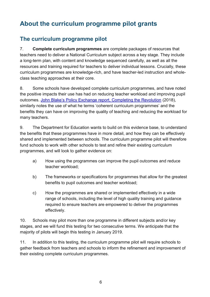# <span id="page-5-0"></span>**About the curriculum programme pilot grants**

## <span id="page-5-1"></span>**The curriculum programme pilot**

7. **Complete curriculum programmes** are complete packages of resources that teachers need to deliver a National Curriculum subject across a key stage. They include a long-term plan, with content and knowledge sequenced carefully, as well as all the resources and training required for teachers to deliver individual lessons. Crucially, these curriculum programmes are knowledge-rich, and have teacher-led instruction and wholeclass teaching approaches at their core.

8. Some schools have developed complete curriculum programmes, and have noted the positive impacts their use has had on reducing teacher workload and improving pupil outcomes. John Blake's Policy Exchange report, Completing the Revolution (2018), similarly notes the use of what he terms 'coherent curriculum programmes' and the benefits they can have on improving the quality of teaching and reducing the workload for many teachers.

9. The Department for Education wants to build on this evidence base, to understand the benefits that these programmes have in more detail, and how they can be effectively shared and implemented between schools. The curriculum programme pilot will therefore fund schools to work with other schools to test and refine their existing curriculum programmes, and will look to gather evidence on:

- a) How using the programmes can improve the pupil outcomes and reduce teacher workload;
- b) The frameworks or specifications for programmes that allow for the greatest benefits to pupil outcomes and teacher workload;
- c) How the programmes are shared or implemented effectively in a wide range of schools, including the level of high quality training and guidance required to ensure teachers are empowered to deliver the programmes effectively.

10. Schools may pilot more than one programme in different subjects and/or key stages, and we will fund this testing for two consecutive terms. We anticipate that the majority of pilots will begin this testing in January 2019.

11. In addition to this testing, the curriculum programme pilot will require schools to gather feedback from teachers and schools to inform the refinement and improvement of their existing complete curriculum programmes.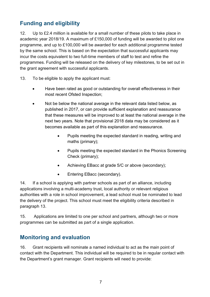# <span id="page-6-0"></span>**Funding and eligibility**

12. Up to £2.4 million is available for a small number of these pilots to take place in academic year 2018/19. A maximum of £150,000 of funding will be awarded to pilot one programme, and up to £100,000 will be awarded for each additional programme tested by the same school. This is based on the expectation that successful applicants may incur the costs equivalent to two full-time members of staff to test and refine the programmes. Funding will be released on the delivery of key milestones, to be set out in the grant agreement with successful applicants.

- <span id="page-6-2"></span>13. To be eligible to apply the applicant must:
	- Have been rated as good or outstanding for overall effectiveness in their most recent Ofsted Inspection;
	- Not be below the national average in the relevant data listed below, as published in 2017, or can provide sufficient explanation and reassurance that these measures will be improved to at least the national average in the next two years. Note that provisional 2018 data may be considered as it becomes available as part of this explanation and reassurance.
		- Pupils meeting the expected standard in reading, writing and maths (primary);
		- Pupils meeting the expected standard in the Phonics Screening Check (primary);
		- Achieving EBacc at grade 5/C or above (secondary);
		- Entering EBacc (secondary).

14. If a school is applying with partner schools as part of an alliance, including applications involving a multi-academy trust, local authority or relevant religious authorities with a role in school improvement, a lead school must be nominated to lead the delivery of the project. This school must meet the eligibility criteria described in paragraph [13.](#page-6-2)

15. Applications are limited to one per school and partners, although two or more programmes can be submitted as part of a single application.

## <span id="page-6-1"></span>**Monitoring and evaluation**

16. Grant recipients will nominate a named individual to act as the main point of contact with the Department. This individual will be required to be in regular contact with the Department's grant manager. Grant recipients will need to provide: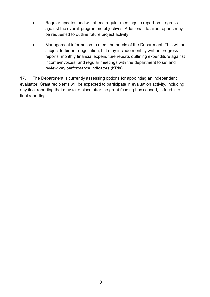- Regular updates and will attend regular meetings to report on progress against the overall programme objectives. Additional detailed reports may be requested to outline future project activity.
- Management information to meet the needs of the Department. This will be subject to further negotiation, but may include monthly written progress reports; monthly financial expenditure reports outlining expenditure against income/invoices; and regular meetings with the department to set and review key performance indicators (KPIs).

17. The Department is currently assessing options for appointing an independent evaluator. Grant recipients will be expected to participate in evaluation activity, including any final reporting that may take place after the grant funding has ceased, to feed into final reporting.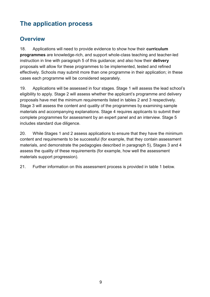# <span id="page-8-0"></span>**The application process**

## <span id="page-8-1"></span>**Overview**

18. Applications will need to provide evidence to show how their **curriculum programmes** are knowledge-rich, and support whole-class teaching and teacher-led instruction in line with paragraph [5](#page-3-3) of this guidance; and also how their **delivery**  proposals will allow for these programmes to be implemented, tested and refined effectively. Schools may submit more than one programme in their application; in these cases each programme will be considered separately.

19. Applications will be assessed in four stages. Stage 1 will assess the lead school's eligibility to apply. Stage 2 will assess whether the applicant's programme and delivery proposals have met the minimum requirements listed in tables 2 and 3 respectively. Stage 3 will assess the content and quality of the programmes by examining sample materials and accompanying explanations. Stage 4 requires applicants to submit their complete programmes for assessment by an expert panel and an interview. Stage 5 includes standard due diligence.

20. While Stages 1 and 2 assess applications to ensure that they have the minimum content and requirements to be successful (for example, that they contain assessment materials, and demonstrate the pedagogies described in paragraph [5\)](#page-3-3), Stages 3 and 4 assess the quality of these requirements (for example, how well the assessment materials support progression).

21. Further information on this assessment process is provided in table 1 below.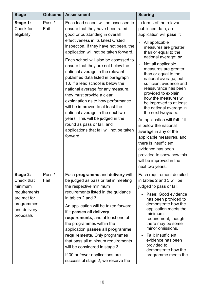| <b>Stage</b>                                                                                                | <b>Outcome</b> | <b>Assessment</b>                                                                                                                                                                                                                                                                                                                                                                                                                                                                                                                                                                                                                                                                                                                           | <b>Scoring</b>                                                                                                                                                                                                                                                                                                                                                                                                                                                                                                                                                                                                                                                                                                 |
|-------------------------------------------------------------------------------------------------------------|----------------|---------------------------------------------------------------------------------------------------------------------------------------------------------------------------------------------------------------------------------------------------------------------------------------------------------------------------------------------------------------------------------------------------------------------------------------------------------------------------------------------------------------------------------------------------------------------------------------------------------------------------------------------------------------------------------------------------------------------------------------------|----------------------------------------------------------------------------------------------------------------------------------------------------------------------------------------------------------------------------------------------------------------------------------------------------------------------------------------------------------------------------------------------------------------------------------------------------------------------------------------------------------------------------------------------------------------------------------------------------------------------------------------------------------------------------------------------------------------|
| Stage 1:<br>Check for<br>eligibility                                                                        | Pass /<br>Fail | Each lead school will be assessed to<br>ensure that they have been rated<br>good or outstanding in overall<br>effectiveness in its latest Ofsted<br>inspection. If they have not been, the<br>application will not be taken forward.<br>Each school will also be assessed to<br>ensure that they are not below the<br>national average in the relevant<br>published data listed in paragraph<br>13. If a lead school is below the<br>national average for any measure,<br>they must provide a clear<br>explanation as to how performance<br>will be improved to at least the<br>national average in the next two<br>years. This will be judged in the<br>round as pass or fail, and<br>applications that fail will not be taken<br>forward. | In terms of the relevant<br>published data, an<br>application will pass if:<br>All applicable<br>measures are greater<br>than or equal to the<br>national average; or<br>Not all applicable<br>$\overline{a}$<br>measures are greater<br>than or equal to the<br>national average, but<br>sufficient evidence and<br>reassurance has been<br>provided to explain<br>how the measures will<br>be improved to at least<br>the national average in<br>the next twoyears.<br>An application will fail if it<br>is below the national<br>average in any of the<br>applicable measures, and<br>there is insufficient<br>evidence has been<br>provided to show how this<br>will be improved in the<br>next two years. |
| Stage 2:<br>Check that<br>minimum<br>requirements<br>are met for<br>programmes<br>and delivery<br>proposals | Pass /<br>Fail | Each programme and delivery will<br>be judged as pass or fail in meeting<br>the respective minimum<br>requirements listed in the guidance<br>in tables 2 and 3.<br>An application will be taken forward<br>if it passes all delivery<br>requirements, and at least one of<br>the programmes within the<br>application passes all programme<br>requirements. Only programmes<br>that pass all minimum requirements<br>will be considered in stage 3.<br>If 30 or fewer applications are<br>successful stage 2, we reserve the                                                                                                                                                                                                                | Each requirement detailed<br>in tables 2 and 3 will be<br>judged to pass or fail:<br>Pass: Good evidence<br>has been provided to<br>demonstrate how the<br>application meets the<br>minimum<br>requirement, though<br>there may be some<br>minor omissions.<br><b>Fail: Insufficient</b><br>evidence has been<br>provided to<br>demonstrate how the<br>programme meets the                                                                                                                                                                                                                                                                                                                                     |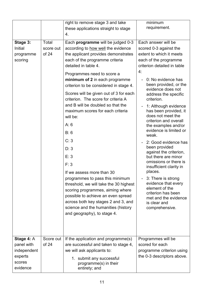|             |           | right to remove stage 3 and take                  | minimum                                          |
|-------------|-----------|---------------------------------------------------|--------------------------------------------------|
|             |           | these applications straight to stage              | requirement.                                     |
|             |           | 4.                                                |                                                  |
| Stage 3:    | Total     | Each programme will be judged 0-3                 | Each answer will be                              |
| Initial     | score out | according to how well the evidence                | scored 0-3 against the                           |
| programme   | of 24     | the applicant provides demonstrates               | extent to which it meets                         |
| scoring     |           | each of the programme criteria                    | each of the programme                            |
|             |           | detailed in table 4.                              | criterion detailed in table                      |
|             |           | Programmes need to score a                        | 4:                                               |
|             |           | minimum of 2 in each programme                    | 0: No evidence has                               |
|             |           | criterion to be considered in stage 4.            | been provided, or the<br>evidence does not       |
|             |           | Scores will be given out of 3 for each            | address the specific                             |
|             |           | criterion. The score for criteria A               | criterion.                                       |
|             |           | and B will be doubled so that the                 | 1: Although evidence<br>$\overline{\phantom{a}}$ |
|             |           | maximum scores for each criteria                  | has been provided, it                            |
|             |           | will be:                                          | does not meet the<br>criterion and overall       |
|             |           | A: 6                                              | the examples and/or                              |
|             |           | B: 6                                              | evidence is limited or<br>weak.                  |
|             |           | C: 3                                              | 2: Good evidence has                             |
|             |           | D: 3                                              | been provided<br>against the criterion,          |
|             |           | E: 3                                              | but there are minor                              |
|             |           | F: 3                                              | omissions or there is<br>insufficient clarity in |
|             |           | If we assess more than 30                         | places.                                          |
|             |           | programmes to pass this minimum                   | - 3: There is strong                             |
|             |           | threshold, we will take the 30 highest            | evidence that every<br>element of the            |
|             |           | scoring programmes, aiming where                  | criterion has been                               |
|             |           | possible to achieve an even spread                | met and the evidence                             |
|             |           | across both key stages 2 and 3, and               | is clear and                                     |
|             |           | science and the humanities (history               | comprehensive.                                   |
|             |           | and geography), to stage 4.                       |                                                  |
|             |           |                                                   |                                                  |
|             |           |                                                   |                                                  |
| Stage 4: A  | Score out | If the application and programme(s)               | Programmes will be                               |
| panel with  | of 24     | are successful and taken to stage 4,              | scored for each                                  |
| independent |           | we will ask applicants to:                        | programme criterion using                        |
| experts     |           |                                                   | the 0-3 descriptors above.                       |
| scores      |           | 1. submit any successful<br>programme(s) in their |                                                  |
| evidence    |           | entirety; and                                     |                                                  |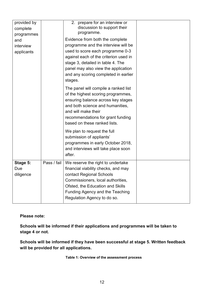| provided by<br>complete                      |             | 2. prepare for an interview or<br>discussion to support their<br>programme.                                                                                                                                                                                             |  |
|----------------------------------------------|-------------|-------------------------------------------------------------------------------------------------------------------------------------------------------------------------------------------------------------------------------------------------------------------------|--|
| programmes<br>and<br>interview<br>applicants |             | Evidence from both the complete<br>programme and the interview will be<br>used to score each programme 0-3<br>against each of the criterion used in<br>stage 3, detailed in table 4. The<br>panel may also view the application<br>and any scoring completed in earlier |  |
|                                              |             | stages.<br>The panel will compile a ranked list<br>of the highest scoring programmes,<br>ensuring balance across key stages<br>and both science and humanities,<br>and will make their<br>recommendations for grant funding<br>based on these ranked lists.             |  |
|                                              |             | We plan to request the full<br>submission of appliants'<br>programmes in early October 2018,<br>and interviews will take place soon<br>after.                                                                                                                           |  |
| Stage 5:<br>Due<br>diligence                 | Pass / fail | We reserve the right to undertake<br>financial viability checks, and may<br>contact Regional Schools<br>Commissioners, local authorities,<br>Ofsted, the Education and Skills<br>Funding Agency and the Teaching<br>Regulation Agency to do so.                         |  |

**Please note:**

**Schools will be informed if their applications and programmes will be taken to stage 4 or not.**

<span id="page-11-0"></span>**Schools will be informed if they have been successful at stage 5. Written feedback will be provided for all applications.**

**Table 1: Overview of the assessment process**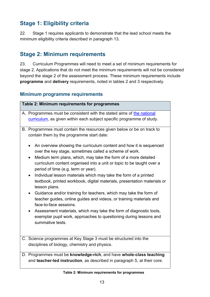# <span id="page-12-0"></span>**Stage 1: Eligibility criteria**

22. Stage 1 requires applicants to demonstrate that the lead school meets the minimum eligibility criteria described in paragraph [13.](#page-6-2)

## <span id="page-12-1"></span>**Stage 2: Minimum requirements**

23. Curriculum Programmes will need to meet a set of minimum requirements for stage 2. Applications that do not meet the minimum requirements will not be considered beyond the stage 2 of the assessment process. These minimum requirements include **programme** and **delivery** requirements, noted in tables 2 and 3 respectively.

#### <span id="page-12-2"></span>**Minimum programme requirements**

| Table 2: Minimum requirements for programmes                                                                                                                                    |
|---------------------------------------------------------------------------------------------------------------------------------------------------------------------------------|
| A. Programmes must be consistent with the stated aims of the national                                                                                                           |
| curriculum, as given within each subject specific programme of study.                                                                                                           |
| B. Programmes must contain the resources given below or be on track to<br>contain them by the programme start date:                                                             |
| An overview showing the curriculum content and how it is sequenced<br>over the key stage, sometimes called a scheme of work.                                                    |
| Medium term plans, which, may take the form of a more detailed<br>curriculum content organised into a unit or topic to be taught over a<br>period of time (e.g. term or year).  |
| Individual lesson materials which may take the form of a printed<br>$\bullet$<br>textbook, printed workbook, digital materials, presentation materials or<br>lesson plans.      |
| Guidance and/or training for teachers, which may take the form of<br>$\bullet$<br>teacher guides, online guides and videos, or training materials and<br>face-to-face sessions. |
| Assessment materials, which may take the form of diagnostic tools,<br>$\bullet$<br>exemplar pupil work, approaches to questioning during lessons and<br>summative tests.        |
| C. Science programmes at Key Stage 3 must be structured into the<br>disciplines of biology, chemistry and physics.                                                              |
| D. Programmes must be knowledge-rich, and have whole-class teaching<br>and teacher-led instruction, as described in paragraph 5, at their core.                                 |

#### <span id="page-12-3"></span>**Table 2: Minimum requirements for programmes**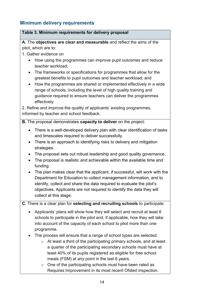### <span id="page-13-0"></span>**Minimum delivery requirements**

#### **Table 3. Minimum requirements for delivery proposal**

 **A.** The **objectives are clear and measurable** and reflect the aims of the pilot, which are to:

1. Gather evidence on

- How using the programmes can improve pupil outcomes and reduce teacher workload;
- The frameworks or specifications for programmes that allow for the greatest benefits to pupil outcomes and teacher workload; and
- How the programmes are shared or implemented effectively in a wide range of schools, including the level of high quality training and guidance required to ensure teachers can deliver the programmes effectively.

 2. Refine and improve the quality of applicants' existing programmes, informed by teacher and school feedback.

**B.** The proposal demonstrates **capacity to deliver** on the project:

- There is a well-developed delivery plan with clear identification of tasks and timescales required to deliver successfully.
- There is an approach to identifying risks to delivery and mitigation strategies.
- The proposal sets out robust leadership and good quality governance.
- The proposal is realistic and achievable within the available time and funding.
- The plan makes clear that the applicant, if successful, will work with the Department for Education to collect management information, and to identify, collect and share the data required to evaluate the pilot's objectives. Applicants are not required to identify the data they will collect at this stage.

**C.** There is a clear plan for **selecting and recruiting schools** to participate:

- Applicants' plans will show how they will select and recruit at least 6 schools to participate in the pilot and, if applicable, how they will take into account of the capacity of each school to pilot more than one programme.
- The process will ensure that a range of school types are selected:
	- o At least a third of the participating primary schools, and at least a quarter of the participating secondary schools must have at least 40% of its pupils registered as eligible for free school meals (FSM) at any point in the last 6 years.
	- o One of the participating schools must have been rated as Requires Improvement in its most recent Ofsted inspection.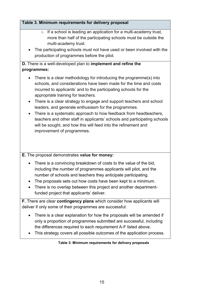#### **Table 3. Minimum requirements for delivery proposal**

- $\circ$  If a school is leading an application for a multi-academy trust, more than half of the participating schools must be outside the multi-academy trust.
- The participating schools must not have used or been involved with the production of programmes before the pilot.

#### **D.** There is a well-developed plan to **implement and refine the programmes:**

- There is a clear methodology for introducing the programme(s) into schools, and considerations have been made for the time and costs incurred to applicants' and to the participating schools for the appropriate training for teachers.
- There is a clear strategy to engage and support teachers and school leaders, and generate enthusiasm for the programmes.
- There is a systematic approach to how feedback from headteachers, teachers and other staff in applicants' schools and participating schools will be sought, and how this will feed into the refinement and improvement of programmes.

**E.** The proposal demonstrates **value for money:**

- There is a convincing breakdown of costs to the value of the bid, including the number of programmes applicants will pilot, and the number of schools and teachers they anticipate participating.
- The proposals sets out how costs have been kept to a minimum.
- There is no overlap between this project and another departmentfunded project that applicants' deliver.

**F.** There are clear **contingency plans** which consider how applicants will deliver if only some of their programmes are successful:

- There is a clear explanation for how the proposals will be amended if only a proportion of programmes submitted are successful, including the differences required to each requirement A-F listed above.
- <span id="page-14-0"></span>• This strategy covers all possible outcomes of the application process.

#### **Table 3: Minimum requirements for delivery proposals**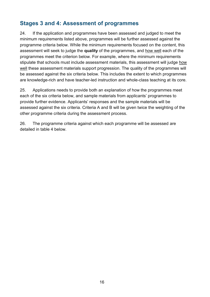## <span id="page-15-0"></span>**Stages 3 and 4: Assessment of programmes**

24. If the application and programmes have been assessed and judged to meet the minimum requirements listed above, programmes will be further assessed against the programme criteria below. While the minimum requirements focused on the content, this assessment will seek to judge the **quality** of the programmes, and how well each of the programmes meet the criterion below. For example, where the minimum requirements stipulate that schools must include assessment materials, this assessment will judge how well these assessment materials support progression. The quality of the programmes will be assessed against the six criteria below. This includes the extent to which programmes are knowledge-rich and have teacher-led instruction and whole-class teaching at its core.

25. Applications needs to provide both an explanation of how the programmes meet each of the six criteria below, and sample materials from applicants' programmes to provide further evidence. Applicants' responses and the sample materials will be assessed against the six criteria. Criteria A and B will be given twice the weighting of the other programme criteria during the assessment process.

26. The programme criteria against which each programme will be assessed are detailed in table 4 below.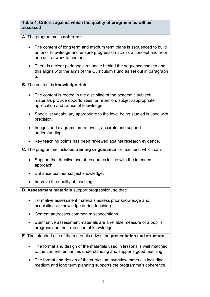#### **Table 4. Criteria against which the quality of programmes will be assessed**

**A.** The programme is **coherent**:

- The content of long term and medium term plans is sequenced to build on prior knowledge and ensure progression across a concept and from one unit of work to another.
- There is a clear pedagogic rationale behind the sequence chosen and this aligns with the aims of the Curriculum Fund as set out in paragraph [5.](#page-3-3)

#### **B.** The content is **knowledge-rich**:

- The content is rooted in the discipline of the academic subject: materials provide opportunities for retention, subject-appropriate application and re-use of knowledge.
- Specialist vocabulary appropriate to the level being studied is used with precision.
- Images and diagrams are relevant, accurate and support understanding.
- Key teaching points has been reviewed against research evidence.
- **C.** The programme includes **training or guidance** for teachers, which can:
	- Support the effective use of resources in line with the intended approach.
	- Enhance teacher subject knowledge.
	- Improve the quality of teaching.
- **D. Assessment materials** support progression, so that:
	- Formative assessment materials assess prior knowledge and acquisition of knowledge during teaching.
	- Content addresses common misconceptions.
	- Summative assessment materials are a reliable measure of a pupil's progress and their retention of knowledge.
- **E.** The intended use of the materials drives the **presentation and structure**:
	- The format and design of the materials used in lessons is well matched to the content, enhances understanding and supports good teaching
	- The format and design of the curriculum overview materials including medium and long term planning supports the programme's coherence.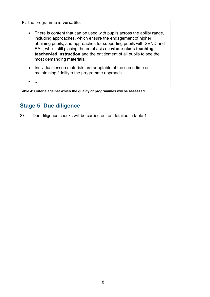**F.** The programme is **versatile**: • There is content that can be used with pupils across the ability range, including approaches, which ensure the engagement of higher attaining pupils, and approaches for supporting pupils with SEND and EAL, whilst still placing the emphasis on **whole-class teaching, teacher-led instruction** and the entitlement of all pupils to see the most demanding materials**.**  • Individual lesson materials are adaptable at the same time as maintaining fidelityto the programme approach

 $\bullet$  ...

<span id="page-17-1"></span>**Table 4: Criteria against which the quality of programmes will be assessed**

## <span id="page-17-0"></span>**Stage 5: Due diligence**

27. Due diligence checks will be carried out as detailed in table 1.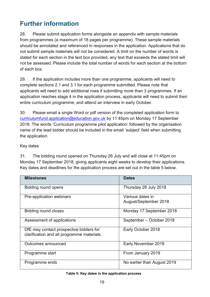# <span id="page-18-0"></span>**Further information**

28. Please submit application forms alongside an appendix with sample materials from programmes (a maximum of 18 pages per programme). These sample materials should be annotated and referenced in responses in the application. Applications that do not submit sample materials will not be considered. A limit on the number of words is stated for each section in the text box provided, any text that exceeds the stated limit will not be assessed. Please include the total number of words for each section at the bottom of each box.

29. If the application includes more than one programme, applicants will need to complete sections 2.1 and 3.1 for each programme submitted. Please note that applicants will need to add additional rows if submitting more than 3 programmes. If an application reaches stage 4 in the application process, applicants will need to submit their entire curriculum programme, and attend an interview in early October.

30. Please email a single Word or pdf version of the completed application form to [curriculumfund.application@education.gov.uk](mailto:curriculumfund.application@education.gov.uk) by 11:45pm on Monday 17 September 2018. The words 'Curriculum programme pilot application' followed by the organisation name of the lead bidder should be included in the email 'subject' field when submitting the application.

#### <span id="page-18-1"></span>Key dates

31. The bidding round opened on Thursday 26 July and will close at 11:45pm on Monday 17 September 2018, giving applicants eight weeks to develop their applications. Key dates and deadlines for the application process are set out in the table 5 below.

| <b>Milestones</b>                                                                     | <b>Dates</b>                              |
|---------------------------------------------------------------------------------------|-------------------------------------------|
| Bidding round opens                                                                   | Thursday 26 July 2018                     |
| Pre-application webinars                                                              | Various dates in<br>August/September 2018 |
| <b>Bidding round closes</b>                                                           | Monday 17 September 2018                  |
| Assessment of applications                                                            | September - October 2018                  |
| DfE may contact prospective bidders for<br>clarification and all programme materials. | Early October 2018                        |
| Outcomes announced                                                                    | Early November 2018                       |
| Programme start                                                                       | From January 2019                         |
| Programme ends                                                                        | No earlier than August 2019               |

#### <span id="page-18-2"></span>**Table 5: Key dates in the application process**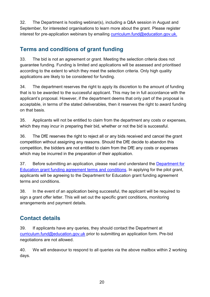32. The Department is hosting webinar(s), including a Q&A session in August and September, for interested organisations to learn more about the grant. Please register interest for pre-application webinars by emailing [curriculum.fund@education.gov.uk.](mailto:curriculum.fund@education.gov.uk)

# <span id="page-19-0"></span>**Terms and conditions of grant funding**

33. The bid is not an agreement or grant. Meeting the selection criteria does not guarantee funding. Funding is limited and applications will be assessed and prioritised according to the extent to which they meet the selection criteria. Only high quality applications are likely to be considered for funding.

34. The department reserves the right to apply its discretion to the amount of funding that is to be awarded to the successful applicant. This may be in full accordance with the applicant's proposal. However, if the department deems that only part of the proposal is acceptable, in terms of the stated deliverables, then it reserves the right to award funding on that basis.

35. Applicants will not be entitled to claim from the department any costs or expenses, which they may incur in preparing their bid, whether or not the bid is successful.

36. The DfE reserves the right to reject all or any bids received and cancel the grant competition without assigning any reasons. Should the DfE decide to abandon this competition, the bidders are not entitled to claim from the DfE any costs or expenses which may be incurred in the preparation of their application.

37. Before submitting an application, please read and understand the [Department for](https://www.gov.uk/government/publications/grant-funding-agreement-terms-and-conditions)  [Education grant funding agreement terms and conditions.](https://www.gov.uk/government/publications/grant-funding-agreement-terms-and-conditions) In applying for the pilot grant, applicants will be agreeing to the Department for Education grant funding agreement terms and conditions.

38. In the event of an application being successful, the applicant will be required to sign a grant offer letter. This will set out the specific grant conditions, monitoring arrangements and payment details.

# <span id="page-19-1"></span>**Contact details**

39. If applicants have any queries, they should contact the Department at [curriculum.fund@education.gov.uk](mailto:curriculum.fund@education.gov.uk) prior to submitting an application form. Pre-bid negotiations are not allowed.

40. We will endeavour to respond to all queries via the above mailbox within 2 working days.